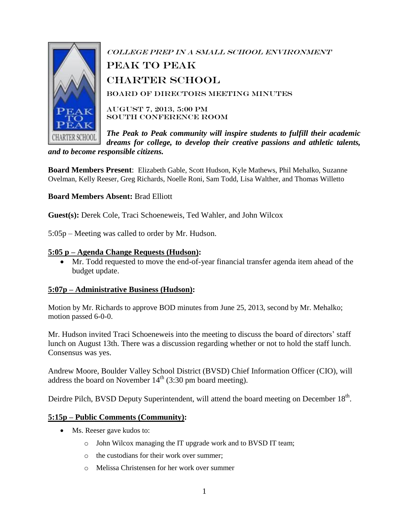

College Prep in a Small School Environment peak to Peak Charter School Board of Directors Meeting Minutes August 7, 2013, 5:00 PM South Conference Room

*The Peak to Peak community will inspire students to fulfill their academic dreams for college, to develop their creative passions and athletic talents, and to become responsible citizens.*

**Board Members Present**: Elizabeth Gable, Scott Hudson, Kyle Mathews, Phil Mehalko, Suzanne Ovelman, Kelly Reeser, Greg Richards, Noelle Roni, Sam Todd, Lisa Walther, and Thomas Willetto

**Board Members Absent:** Brad Elliott

**Guest(s):** Derek Cole, Traci Schoeneweis, Ted Wahler, and John Wilcox

5:05p – Meeting was called to order by Mr. Hudson.

### **5:05 p – Agenda Change Requests (Hudson):**

 Mr. Todd requested to move the end-of-year financial transfer agenda item ahead of the budget update.

### **5:07p – Administrative Business (Hudson):**

Motion by Mr. Richards to approve BOD minutes from June 25, 2013, second by Mr. Mehalko; motion passed 6-0-0.

Mr. Hudson invited Traci Schoeneweis into the meeting to discuss the board of directors' staff lunch on August 13th. There was a discussion regarding whether or not to hold the staff lunch. Consensus was yes.

Andrew Moore, Boulder Valley School District (BVSD) Chief Information Officer (CIO), will address the board on November  $14<sup>th</sup>$  (3:30 pm board meeting).

Deirdre Pilch, BVSD Deputy Superintendent, will attend the board meeting on December 18<sup>th</sup>.

### **5:15p – Public Comments (Community):**

- Ms. Reeser gave kudos to:
	- o John Wilcox managing the IT upgrade work and to BVSD IT team;
	- o the custodians for their work over summer;
	- o Melissa Christensen for her work over summer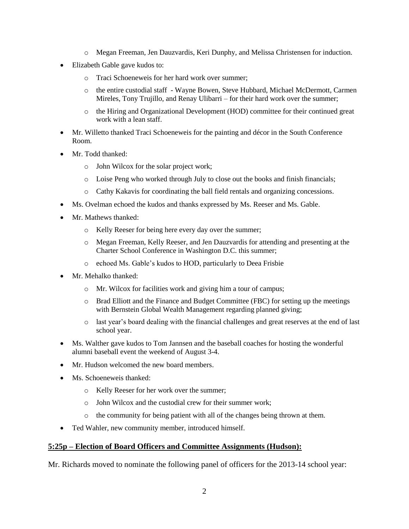- o Megan Freeman, Jen Dauzvardis, Keri Dunphy, and Melissa Christensen for induction.
- Elizabeth Gable gave kudos to:
	- o Traci Schoeneweis for her hard work over summer;
	- o the entire custodial staff Wayne Bowen, Steve Hubbard, Michael McDermott, Carmen Mireles, Tony Trujillo, and Renay Ulibarri – for their hard work over the summer;
	- o the Hiring and Organizational Development (HOD) committee for their continued great work with a lean staff.
- Mr. Willetto thanked Traci Schoeneweis for the painting and décor in the South Conference Room.
- Mr. Todd thanked:
	- o John Wilcox for the solar project work;
	- o Loise Peng who worked through July to close out the books and finish financials;
	- o Cathy Kakavis for coordinating the ball field rentals and organizing concessions.
- Ms. Ovelman echoed the kudos and thanks expressed by Ms. Reeser and Ms. Gable.
- Mr. Mathews thanked:
	- o Kelly Reeser for being here every day over the summer;
	- o Megan Freeman, Kelly Reeser, and Jen Dauzvardis for attending and presenting at the Charter School Conference in Washington D.C. this summer;
	- o echoed Ms. Gable's kudos to HOD, particularly to Deea Frisbie
- Mr. Mehalko thanked:
	- o Mr. Wilcox for facilities work and giving him a tour of campus;
	- o Brad Elliott and the Finance and Budget Committee (FBC) for setting up the meetings with Bernstein Global Wealth Management regarding planned giving;
	- o last year's board dealing with the financial challenges and great reserves at the end of last school year.
- Ms. Walther gave kudos to Tom Jannsen and the baseball coaches for hosting the wonderful alumni baseball event the weekend of August 3-4.
- Mr. Hudson welcomed the new board members.
- Ms. Schoeneweis thanked:
	- o Kelly Reeser for her work over the summer;
	- o John Wilcox and the custodial crew for their summer work;
	- o the community for being patient with all of the changes being thrown at them.
- Ted Wahler, new community member, introduced himself.

### **5:25p – Election of Board Officers and Committee Assignments (Hudson):**

Mr. Richards moved to nominate the following panel of officers for the 2013-14 school year: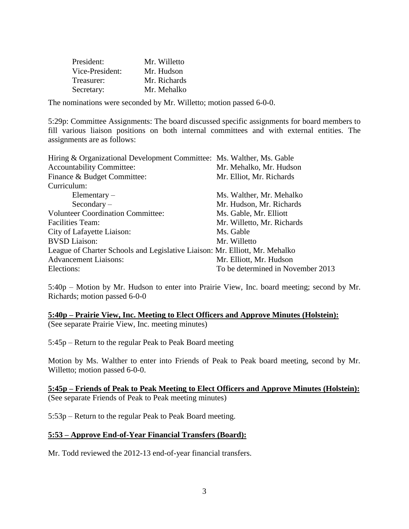| President:      | Mr. Willetto |
|-----------------|--------------|
| Vice-President: | Mr. Hudson   |
| Treasurer:      | Mr. Richards |
| Secretary:      | Mr. Mehalko  |

The nominations were seconded by Mr. Willetto; motion passed 6-0-0.

5:29p: Committee Assignments: The board discussed specific assignments for board members to fill various liaison positions on both internal committees and with external entities. The assignments are as follows:

| Hiring & Organizational Development Committee: Ms. Walther, Ms. Gable       |                                   |
|-----------------------------------------------------------------------------|-----------------------------------|
| <b>Accountability Committee:</b>                                            | Mr. Mehalko, Mr. Hudson           |
| Finance & Budget Committee:                                                 | Mr. Elliot, Mr. Richards          |
| Curriculum:                                                                 |                                   |
| Elementary $-$                                                              | Ms. Walther, Mr. Mehalko          |
| $Secondary -$                                                               | Mr. Hudson, Mr. Richards          |
| <b>Volunteer Coordination Committee:</b>                                    | Ms. Gable, Mr. Elliott            |
| <b>Facilities Team:</b>                                                     | Mr. Willetto, Mr. Richards        |
| City of Lafayette Liaison:                                                  | Ms. Gable                         |
| <b>BVSD</b> Liaison:                                                        | Mr. Willetto                      |
| League of Charter Schools and Legislative Liaison: Mr. Elliott, Mr. Mehalko |                                   |
| <b>Advancement Liaisons:</b>                                                | Mr. Elliott, Mr. Hudson           |
| Elections:                                                                  | To be determined in November 2013 |

5:40p – Motion by Mr. Hudson to enter into Prairie View, Inc. board meeting; second by Mr. Richards; motion passed 6-0-0

**5:40p – Prairie View, Inc. Meeting to Elect Officers and Approve Minutes (Holstein):** (See separate Prairie View, Inc. meeting minutes)

5:45p – Return to the regular Peak to Peak Board meeting

Motion by Ms. Walther to enter into Friends of Peak to Peak board meeting, second by Mr. Willetto; motion passed 6-0-0.

### **5:45p – Friends of Peak to Peak Meeting to Elect Officers and Approve Minutes (Holstein):** (See separate Friends of Peak to Peak meeting minutes)

5:53p – Return to the regular Peak to Peak Board meeting.

### **5:53 – Approve End-of-Year Financial Transfers (Board):**

Mr. Todd reviewed the 2012-13 end-of-year financial transfers.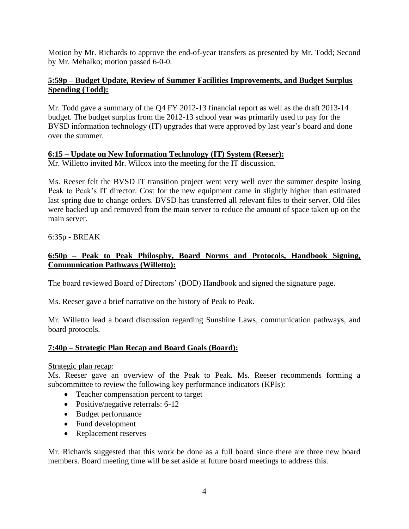Motion by Mr. Richards to approve the end-of-year transfers as presented by Mr. Todd; Second by Mr. Mehalko; motion passed 6-0-0.

## **5:59p – Budget Update, Review of Summer Facilities Improvements, and Budget Surplus Spending (Todd):**

Mr. Todd gave a summary of the Q4 FY 2012-13 financial report as well as the draft 2013-14 budget. The budget surplus from the 2012-13 school year was primarily used to pay for the BVSD information technology (IT) upgrades that were approved by last year's board and done over the summer.

## **6:15 – Update on New Information Technology (IT) System (Reeser):**

Mr. Willetto invited Mr. Wilcox into the meeting for the IT discussion.

Ms. Reeser felt the BVSD IT transition project went very well over the summer despite losing Peak to Peak's IT director. Cost for the new equipment came in slightly higher than estimated last spring due to change orders. BVSD has transferred all relevant files to their server. Old files were backed up and removed from the main server to reduce the amount of space taken up on the main server.

6:35p - BREAK

# **6:50p – Peak to Peak Philosphy, Board Norms and Protocols, Handbook Signing, Communication Pathways (Willetto):**

The board reviewed Board of Directors' (BOD) Handbook and signed the signature page.

Ms. Reeser gave a brief narrative on the history of Peak to Peak.

Mr. Willetto lead a board discussion regarding Sunshine Laws, communication pathways, and board protocols.

# **7:40p – Strategic Plan Recap and Board Goals (Board):**

### Strategic plan recap:

Ms. Reeser gave an overview of the Peak to Peak. Ms. Reeser recommends forming a subcommittee to review the following key performance indicators (KPIs):

- Teacher compensation percent to target
- Positive/negative referrals: 6-12
- Budget performance
- Fund development
- Replacement reserves

Mr. Richards suggested that this work be done as a full board since there are three new board members. Board meeting time will be set aside at future board meetings to address this.